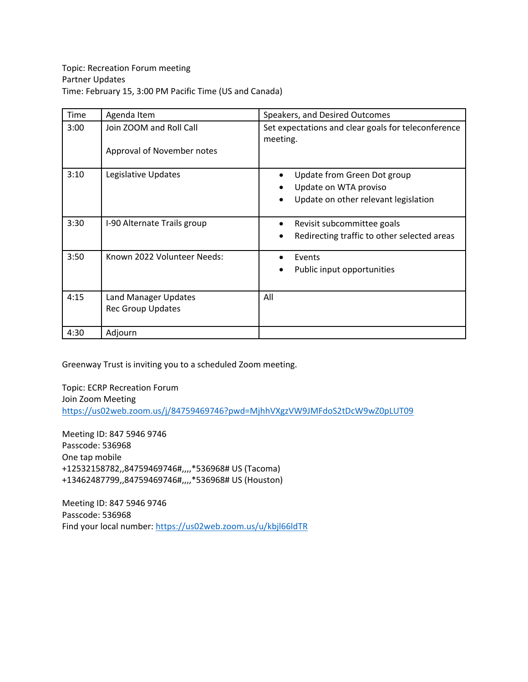| Time | Agenda Item                                             | Speakers, and Desired Outcomes                                                                                         |
|------|---------------------------------------------------------|------------------------------------------------------------------------------------------------------------------------|
| 3:00 | Join ZOOM and Roll Call<br>Approval of November notes   | Set expectations and clear goals for teleconference<br>meeting.                                                        |
| 3:10 | Legislative Updates                                     | Update from Green Dot group<br>$\bullet$<br>Update on WTA proviso<br>Update on other relevant legislation<br>$\bullet$ |
| 3:30 | I-90 Alternate Trails group                             | Revisit subcommittee goals<br>Redirecting traffic to other selected areas                                              |
| 3:50 | Known 2022 Volunteer Needs:                             | Events<br>Public input opportunities                                                                                   |
| 4:15 | <b>Land Manager Updates</b><br><b>Rec Group Updates</b> | All                                                                                                                    |
| 4:30 | Adjourn                                                 |                                                                                                                        |

Greenway Trust is inviting you to a scheduled Zoom meeting.

Topic: ECRP Recreation Forum Join Zoom Meeting <https://us02web.zoom.us/j/84759469746?pwd=MjhhVXgzVW9JMFdoS2tDcW9wZ0pLUT09>

Meeting ID: 847 5946 9746 Passcode: 536968 One tap mobile +12532158782,,84759469746#,,,,\*536968# US (Tacoma) +13462487799,,84759469746#,,,,\*536968# US (Houston)

Meeting ID: 847 5946 9746 Passcode: 536968 Find your local number[: https://us02web.zoom.us/u/kbjl66ldTR](https://us02web.zoom.us/u/kbjl66ldTR)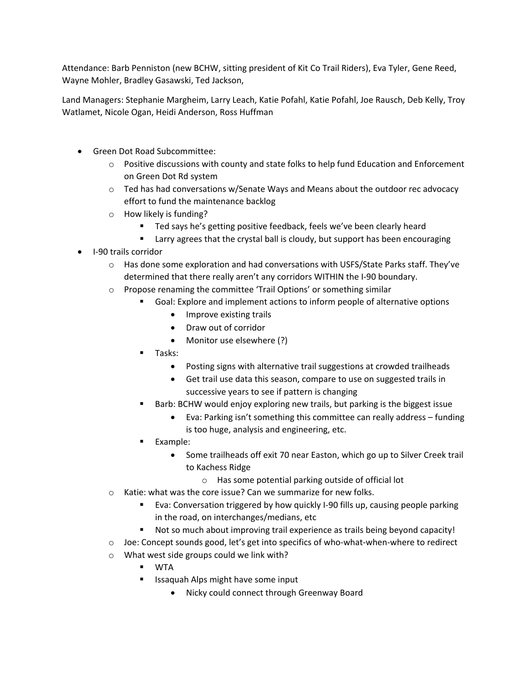Attendance: Barb Penniston (new BCHW, sitting president of Kit Co Trail Riders), Eva Tyler, Gene Reed, Wayne Mohler, Bradley Gasawski, Ted Jackson,

Land Managers: Stephanie Margheim, Larry Leach, Katie Pofahl, Katie Pofahl, Joe Rausch, Deb Kelly, Troy Watlamet, Nicole Ogan, Heidi Anderson, Ross Huffman

- Green Dot Road Subcommittee:
	- o Positive discussions with county and state folks to help fund Education and Enforcement on Green Dot Rd system
	- o Ted has had conversations w/Senate Ways and Means about the outdoor rec advocacy effort to fund the maintenance backlog
	- o How likely is funding?
		- Ted says he's getting positive feedback, feels we've been clearly heard
		- **EXT** Larry agrees that the crystal ball is cloudy, but support has been encouraging
- I-90 trails corridor
	- $\circ$  Has done some exploration and had conversations with USFS/State Parks staff. They've determined that there really aren't any corridors WITHIN the I-90 boundary.
	- o Propose renaming the committee 'Trail Options' or something similar
		- Goal: Explore and implement actions to inform people of alternative options
			- Improve existing trails
			- Draw out of corridor
			- Monitor use elsewhere (?)
		- Tasks:
			- Posting signs with alternative trail suggestions at crowded trailheads
			- Get trail use data this season, compare to use on suggested trails in successive years to see if pattern is changing
		- Barb: BCHW would enjoy exploring new trails, but parking is the biggest issue
			- Eva: Parking isn't something this committee can really address funding is too huge, analysis and engineering, etc.
		- **Example:** 
			- Some trailheads off exit 70 near Easton, which go up to Silver Creek trail to Kachess Ridge
				- o Has some potential parking outside of official lot
	- o Katie: what was the core issue? Can we summarize for new folks.
		- Eva: Conversation triggered by how quickly I-90 fills up, causing people parking in the road, on interchanges/medians, etc
		- Not so much about improving trail experience as trails being beyond capacity!
	- $\circ$  Joe: Concept sounds good, let's get into specifics of who-what-when-where to redirect
	- o What west side groups could we link with?
		- WTA
		- Issaquah Alps might have some input
			- Nicky could connect through Greenway Board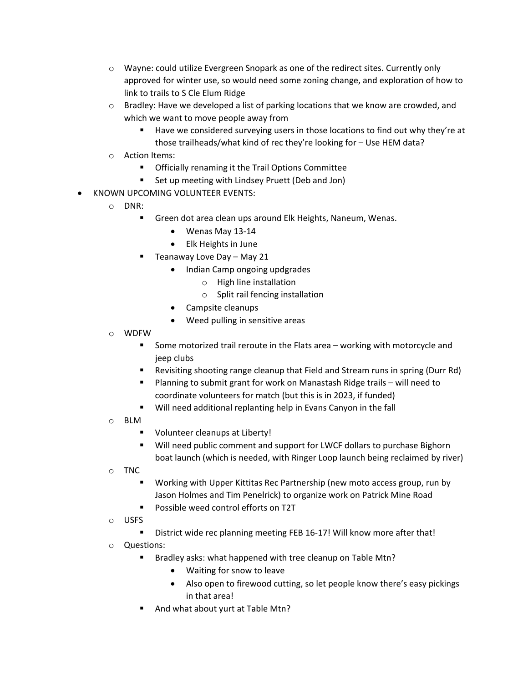- $\circ$  Wayne: could utilize Evergreen Snopark as one of the redirect sites. Currently only approved for winter use, so would need some zoning change, and exploration of how to link to trails to S Cle Elum Ridge
- $\circ$  Bradley: Have we developed a list of parking locations that we know are crowded, and which we want to move people away from
	- Have we considered surveying users in those locations to find out why they're at those trailheads/what kind of rec they're looking for – Use HEM data?
- o Action Items:
	- Officially renaming it the Trail Options Committee
	- Set up meeting with Lindsey Pruett (Deb and Jon)
- KNOWN UPCOMING VOLUNTEER EVENTS:
	- o DNR:
		- Green dot area clean ups around Elk Heights, Naneum, Wenas.
			- Wenas May 13-14
			- Elk Heights in June
			- Teanaway Love Day May 21
				- Indian Camp ongoing updgrades
					- o High line installation
					- o Split rail fencing installation
				- Campsite cleanups
				- Weed pulling in sensitive areas
	- o WDFW
		- **Some motorized trail reroute in the Flats area working with motorcycle and** jeep clubs
		- Revisiting shooting range cleanup that Field and Stream runs in spring (Durr Rd)
		- Planning to submit grant for work on Manastash Ridge trails will need to coordinate volunteers for match (but this is in 2023, if funded)
		- Will need additional replanting help in Evans Canyon in the fall
	- o BLM
		- **Volunteer cleanups at Liberty!**
		- Will need public comment and support for LWCF dollars to purchase Bighorn boat launch (which is needed, with Ringer Loop launch being reclaimed by river)
	- o TNC
		- Working with Upper Kittitas Rec Partnership (new moto access group, run by Jason Holmes and Tim Penelrick) to organize work on Patrick Mine Road
		- **Possible weed control efforts on T2T**
	- o USFS
		- District wide rec planning meeting FEB 16-17! Will know more after that!
	- o Questions:
		- Bradley asks: what happened with tree cleanup on Table Mtn?
			- Waiting for snow to leave
			- Also open to firewood cutting, so let people know there's easy pickings in that area!
		- And what about yurt at Table Mtn?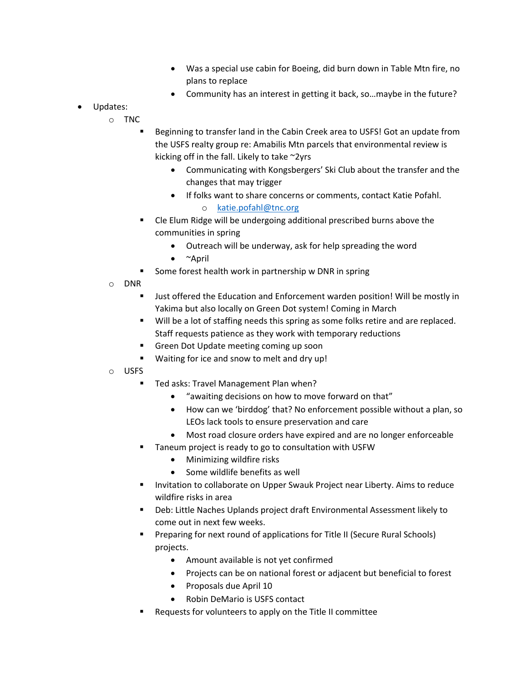- Was a special use cabin for Boeing, did burn down in Table Mtn fire, no plans to replace
- Community has an interest in getting it back, so…maybe in the future?
- Updates:
	- o TNC
		- Beginning to transfer land in the Cabin Creek area to USFS! Got an update from the USFS realty group re: Amabilis Mtn parcels that environmental review is kicking off in the fall. Likely to take ~2yrs
			- Communicating with Kongsbergers' Ski Club about the transfer and the changes that may trigger
			- If folks want to share concerns or comments, contact Katie Pofahl. o [katie.pofahl@tnc.org](mailto:katie.pofahl@tnc.org)
		- Cle Elum Ridge will be undergoing additional prescribed burns above the communities in spring
			- Outreach will be underway, ask for help spreading the word
			- ~April
			- Some forest health work in partnership w DNR in spring
	- o DNR
		- Just offered the Education and Enforcement warden position! Will be mostly in Yakima but also locally on Green Dot system! Coming in March
		- **Will be a lot of staffing needs this spring as some folks retire and are replaced.** Staff requests patience as they work with temporary reductions
		- Green Dot Update meeting coming up soon
		- Waiting for ice and snow to melt and dry up!
	- o USFS
		- Ted asks: Travel Management Plan when?
			- "awaiting decisions on how to move forward on that"
			- How can we 'birddog' that? No enforcement possible without a plan, so LEOs lack tools to ensure preservation and care
			- Most road closure orders have expired and are no longer enforceable
		- Taneum project is ready to go to consultation with USFW
			- Minimizing wildfire risks
			- Some wildlife benefits as well
		- **Invitation to collaborate on Upper Swauk Project near Liberty. Aims to reduce** wildfire risks in area
		- Deb: Little Naches Uplands project draft Environmental Assessment likely to come out in next few weeks.
		- Preparing for next round of applications for Title II (Secure Rural Schools) projects.
			- Amount available is not yet confirmed
			- Projects can be on national forest or adjacent but beneficial to forest
			- Proposals due April 10
			- Robin DeMario is USFS contact
		- Requests for volunteers to apply on the Title II committee